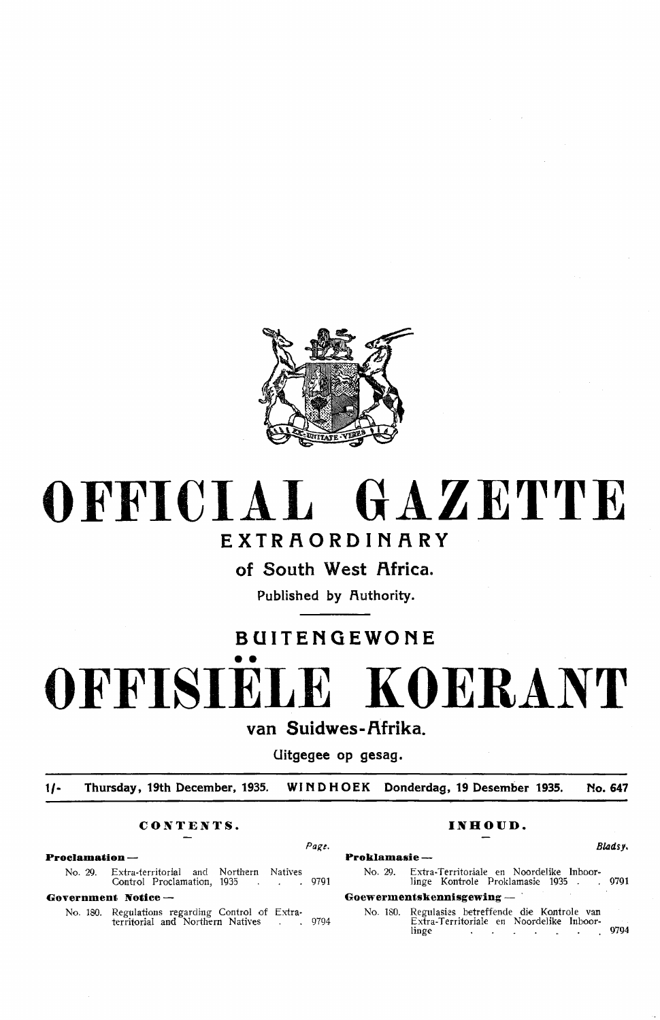

# **OFFICIAL GAZETTE**

# **EXTRAORDINARY**

**of South West Africa.** 

Published by Authority.

# **BUITENGEWONE**

•• **OFFISIELE KOERANT** 

van Suidwes-Afrika.

**Uitgegee op gesag.** 

**1/- Thursday, 19th December, 1935. WI N D H OE K Donderdag, 19 Desember 1935. No. 647** 

# **CONTENTS. INHOUD.**

# **Proclamation - Proklamasie** -

No. 29. Extra-territorial and Northern Natives Control Proclamation, 1935 . . .

**Government Notice** -

No. 180. Regulations regarding Control of Extraterritorial and Northern Natives . . 9794

Page. Bladsy.

No. 29. Extra-Territoriale en Noordelike Inboorlinge Kontrole Proklamasie 1935 . . 9791

# Goewermentskennisgewing -

No. 180. Regulasics betreffende die Kontrole van Extra-Territoriale en Noordelike Inboorlinge . . . . . . . 9794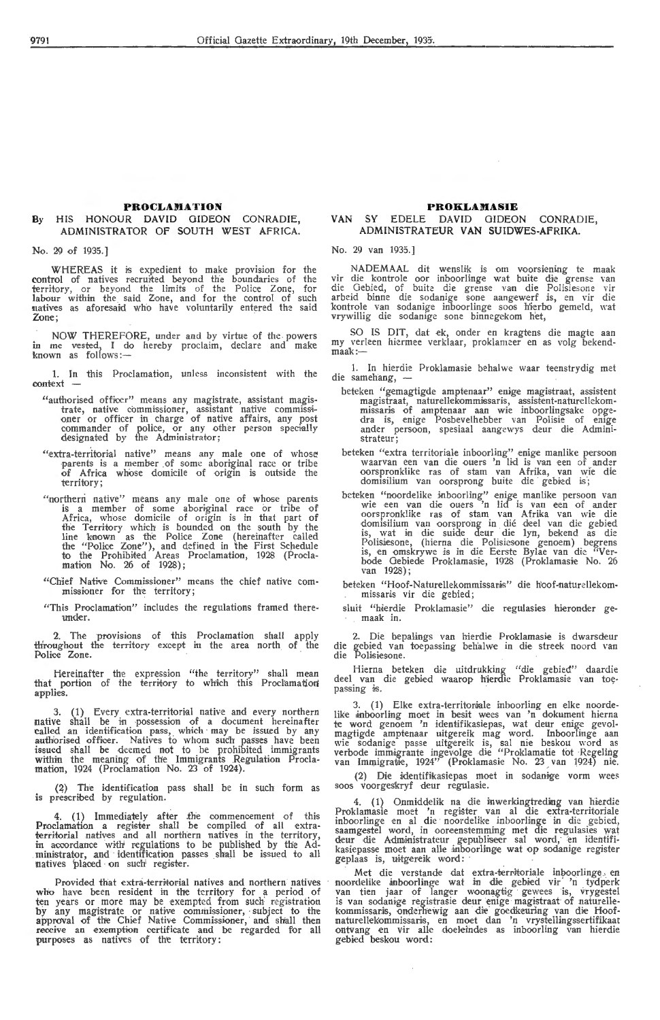# **PROCLAMATION**

# **By** HIS HONOUR **DAVID** GIDEON CONRADIE, ADMINISTRATOR OF SOUTH WEST AFRICA.

No. 29 of 1935. J

WHEREAS it is expedient to make provision for the control of natives recruited beyond the boundaries of the territory, or beyond the limits of the Police Zone, for labour within the said Zone, and for the control of such natives as aforesaid who have voluntarily entered the said Zone;

NOW THEREFORE, under and by virtue of the . powers in me vested, I do hereby proclaim, declare and make known as follows:—

1. In this Proclamation, unless inconsistent with the context

- "authorised offioer" means any magistrate, assistant magistrate, native commissioner, assistant native commissi-<br>oner or officer in charge of native affairs, any post commander of police, or any other person specially designated by the Administrator;
- "extra-territorial native" means any male one of whose parents is a member of some aboriginal race or tribe<br>of Africa whose domicile of origin is outside the territory;
- "northern native" means any male one of whose parents is a member of some aboriginal race or tribe of Africa, whose domicile of origin is in that part of the Territory which is bounded on the south by the line known as the Police Zone (hereinafter called the "Police Zone"), and defined in the First Schedule to the Prohibited Areas Proclamation, 1928 (Proclamation No. 26 of 1928);
- "Chief Native Commissioner" means the chief native com-<br>missioner for the territory;
- "This Proclamation" includes the regulations framed thereunder.

2. The provisions of this Proclamation shall apply th'roughout the territory except in the area north of the Police Zone.

Hereinafter the expression "the territory" shall mean that portion of the territory to which this Proclamation applies.

3. (1) Every extra-territorial native and every northern native shall be in possession of a document hereinafter called an identification pass, which may be issued by any authorised officer. Natives to whom such passes have been issued shall be deemed not to be prohibited immigrants within the meaning of the Immigrants Regulation Proclamation, 1924 (Proclamation No. 23 of 1924).

(~) The identification pass shall be in such form as is prescribed by regulation.

4. (1) Immediately after the commencement of this Proclamation a register shall be compiled of all extraterritorial natives and all northern natives in the territory, in accordance with regulations to be published by the Ad-<br>ministrator, and identification passes shall be issued to all natives placed on such register.

Provided that extra-territorial natives and northern natives who have been resident in the territory for a period of ten years or more may be exempted from such registration by any magistrate or native commissioner, subject to the approval of the Chief Native Commissioner, and shall then receive an exemption certificate and be regarded for all<br>purposes as natives of the territory:

# **PROKLAMASIE**

# VAN SY EDELE DAVID GIDEON CONRADIE, AD MIN ISTRA TEUR VAN SUIDWES-AFRIKA.

No. 29 van 1935.)

NADEMAAL dit wenslik is om voorsiening te maak vir die kontrole oor inboorlinge wat buite die grense van die Gebied, of buite die grense van die Polisiesone vir arbeid binne die sodanige sone aangewerf is, en vir die kontrole van sodanige inboorlinge soos h'ierbo gemeld, wat vrywillig die sodanige sone binnegekom h'et,

SO IS DIT, dat ek, onder en kragtens die magte aan my verleen hiermee verklaar, proklameer en as volg bekendmy veri<br><mark>maak:—</mark>

1. In hierdie Proklamasie behalwe waar teenstrydig met die samehang, -

- beteken "gemagtigde amptenaar" enige magistraat, assistent magistraat, naturellekommissaris, assistent-naturellekommissaris of amptenaar aan wie inboorlingsake opge- dra is, enige Posbevelhebber van Polisie of enige ander persoon, spesiaal aangewys deur die Administrateur;
- beteken "extra territoriale inboorling" enige manlike persoon waarvan een van die ouers 'n lid is van een of ander oorspronklike ras of stam van Afrika, van wie die domisilium van oorsprong buite die gebied is;
- beteken "noordelike inboorling" enige manlike persoon van wie een van die ouers 'n lid is van een of ander oorspronklike ras of stam van Afrika van wie die domisilium van oorsprong in die dee! van die gebied is, wat in die suide deur die lyn, bekend as die<br>Polisiesone, (hierna die Polisiesone genoem) begrens<br>is, en omskrywe is in die Eerste Bylae van die "Verbode Gebiede Proklamasie, 1928 (Proklamasie No. 26<br>van 1928);

beteken "Hoof-Naturellekommissanis" die hoof-naturellekommissaris vir die gebied;

sluit "hierdie Proklamasie" die regulasies hieronder gemaak in.

Die bepalings van hierdie Proklamasie is dwarsdeur die gebied van toepassing behalwe in die streek noord van die Polisiesone.

Hierna beteken die uitdrukking "die gebied" daardie deel van die gebied waarop hierdie Proklamasie van toepassing is.

3. (1) Elke extra-territoriale inboorling en elke noordelike inboorling moet in besit wees van 'n dokument hierna te word genoem 'n identifikasiepas, wat deur enige gevolmagtigde amptenaar uitgereik mag word. Inboorlinge aan<br>wie sodanige passe uitgereik is, sal nie beskou word as<br>verbode immigrante ingevolge die "Proklamatie tot Regeling<br>van Immigratie, 1924" (Proklamasie No. 23 van 1924)

(2) Die identifikasiepas moet in sodanige vorm wees soos voorgeskryf deur regulasie.

4. (1) Onmiddelik na die inwerkingtreding van hierdie Proklamasie moet 'n register van al die extra-territoriale<br>inboorlinge en al die noordelike inboorlinge in die gebied,<br>saamgestel word, in ooreenstemming met die regulasies wat deur die Administrateur gepubliseer sal word, en identifi-<br>kasiepasse moet aan alle inboorlinge wat op sodanige register geplaas is, uitgereik word:

Met die verstande dat extra-territoriale inboorlinge en noordelike inboorlinge wat in die gebied vir 'n tydperk van tien jaar of langer woonagtig gewees is, vrygestel is van sodanige registrasie deur enige magistraat of naturellekommissaris, onderhewig aan die goedkeuring van die Hoofnaturellekommissaris, en moet dan 'n vrystellingssertifikaat ontvang en vir alle doeleindes as inboorling van hierdie gebied beskou word: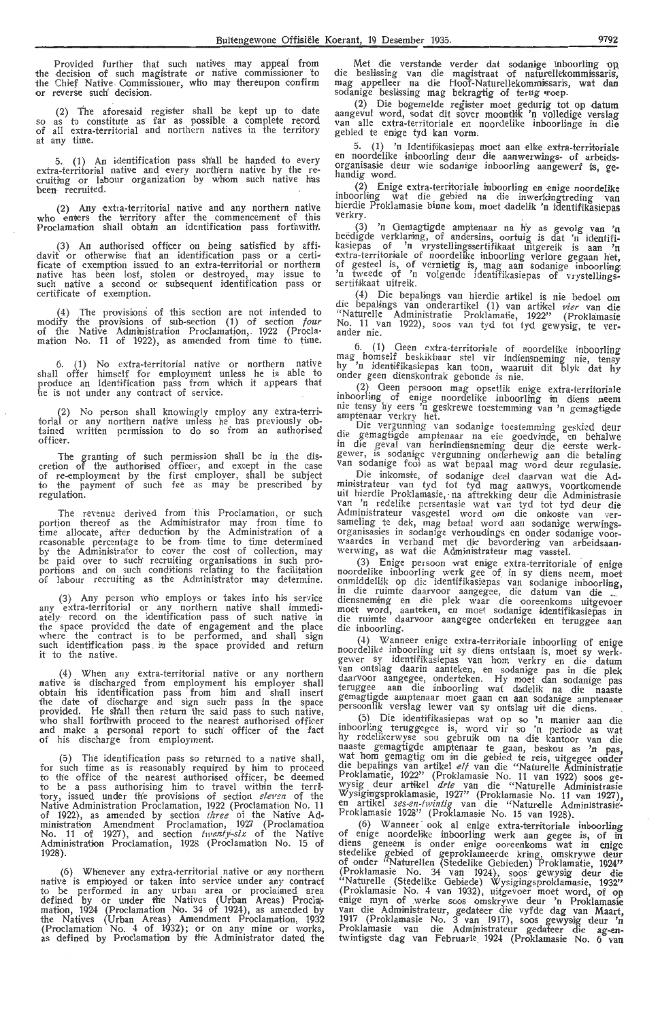Provided further that such natives may appeal from<br>the decision of such magistrate or native commissioner to the Chief Native Commissioner, who may thereupon confirm or reverse such' decision.

(2) The aforesaid regiskr shall be kept up to date so as to constitute as· far as possible a complete record of all extra-territorial and northern natives in the territory at any time.

5. (1) An identification pass shall be handed to every extra-territorial native and every northern native by the re-<br>cruiting or labour organization by whom such native has been recruited.

(2) Any extra-territortal native and any northern native who enters the territory after the commencement of this Proclamation shall obtain an identification pass forthwith.

(3) An authorised officer on being satisfied by affi-davit or otherwise that an identification pass or a eerti-• ficate of exemption issued to an extra-territorial or northern native has been lost, stolen or destroyed, may issue to such native a second or subsequent identification pass or certificate of exemption.

(4) The provisions of this section are not intended to modify the provisions of sub-section (1) of section *four* of the Native Administration Proclamation, . 1922 (Procla- mation No. 11 of 1922), as amended from time to time.

6. (1) No extra-territorial native or northern native shall offer himself for employment unless he is able to produce an identification pass from which it appears that he is not under any contract of service.

(2) No person shall knowingly employ any extra-terri~ torial or any northern native unless he has previously obtained written permission to do so from an authorised officer.

The granting of such permission shall be in the discretion of the authorised offioer, and except in the case of re-employment by the first employ-er, shall be subject to the payment of such fee as may be prescribed by regulation.

The revenue derived from this Proclamation, or such portion thereof as the Administrator may from time to time allocate, after deduction by the Administration of a reasonable percentage to be from time to time determined by the Administrator to cover the cost of collection, may be paid over to such recruiting organisations in such proportions and on such conditions relating to the facilitation of labour recruiting as the Administrator may determine.

(3} Any person who employs or takes into his service any extra-territorial or any northern native shall immediately· record on the identification pass of such native in the space provided the date of engagement and the place where the contract is to be performed, and shall sign such identification pass . in the space provided and return it to the native.

(4) When any extra-territorial native or any northern native is discharged from employment his employer shall obtain his identification pass from him and shall insert the date of discharge and sign such pass in the space provided. He shall then return the said pass to such native, who shall forthwith proceed to the nearest authorised officer and make a personal report to such officer of the fact of his discharge from employment.

(5) The identification pass so returned to a native shall for such time as is reasonably required by him to proceed to the office of the nearest authorised officer, be deemed<br>to be a pass authorising him to travel within the territory, issued under the provisions of section *eleven* of the Native Administration Proclamation, 1922 (Proclamation No. 11 of 1922), as amended by section three of the Native Administration Amendment Proclamation, 1927 (Proclamation No. 11 of 1927), and section *tivenly~six* of the Native Administration Proclamation, 1928 (Proclamation No. 15 of 1928)

 $(6)$  Whenever any extra-territorial native or any northern native is employed or taken into service under any contract to be performed in any urban area or proclaimed area defined by or under th'e Natives (Urban Areas) Procla;- mation, 1924 (Proclamation No. 34 of 1924), as amended by the Natives (Urban Areas) Amendment Proclamation, 1932 (Proclamation No. 4 of 1932); or on any mine or works, as defined by Proclamatipn by th'e Administrator dated the

------------------ M.et die verstande verder <lat sodani,ge inboorling ·op, die besHssing van die magistraat of natur-ellekommi:ssaris, mag appelleer na die Hoof-Naturellekommissaris, wat dan sodanige beslissing mag bekragtig of terug roep.

(2) Die bogemelde regiister moet gedurig tot op datum aangevul word, sodat dit sover moontlik 'n volledige verslag<br>van alle extra-territoriale en noordelike inboorlinge in die gebied te enive tyd kan vorm.

5. (1) 'n Identifikasiepas moet aan elke extra-territoriale en noordelike inboorling deur die aanwerwings- of arbeidsorganisasie deur wie sodanige inboorling aangewerf is, ge-<br>handig word.

(2) Enige extra-territoriale inboorling en enige noordelike mboorling wat die gebied ha die inwerkingtreding van inboorling wat die gebied ha die inwerkingtreding van hierdie Proklamasie binne kom, moet dadelik 'n identifikasiepas verkry.

(3) 'n Gemagtigde amptenaar na h'y as gevolg van 'n beëdigde verklaring, of andersins, oortuig is dat 'n identifikasiepas of 'n vrystellingssertifikaat uitgereik is aan 'n extra-territoriale of noordelike inboorling verlore gegaan het, of gesteel is, of vernietig is, mag aan sodanige inboorling 'n tweede of 'n volgende identifikasiepas of vrystellings-<br>sertifikaat uitreik.

( 4) Die bepaHngs van hierdie artikel is ni,e bedoel om die bepaLings van ondera rtikel (1) van arhkd *vier* van ,die ''Naturelle Administratie Proklamatie, 1922'' (Proklamasie<br>No. 11 van 1922), soos van tyd tot tyd gewysig, te ver-<br>ander nie.

6. (1) Geen extra-territoriale of noordelike inboorling mag homself beskikbaar stel vir indiensneming nie, tensy hy 'n identifikasiepas kan toon, waaruit dit blyk dat hy onder geen dienskontrak gebonde is nie.

. (2)\_ Geen pe:soon mag opsetlik enige extra-territoriale inboorling of enige noordelike inboorling in diens neem<br>nie-tensy hy eers 'n geskrewe toestemming van 'n gemagtigde<br>amptenaar verkry het.

. Die vergunning van sodanige toestemming geskied deur die gemagtigde amptenaar na eie goedvinde, en behalwe in die geval van herindiensneming deur die eerste werkgewer, is . sodanige vergunning onderhewig aan die betaling van sodamge fom as wat bepaal mag word deur regulasie.

Die inkomste, of sodanige deel daarvan wat die Ad-<br>ministrateur van tyd tot tyd mag aanwys, voortkomende<br>uit hierdie Proklamasie, na aftrekking deur die Administrasie<br>van 'n redelike persentasie wat van tyd tot tyd deur di Administrateur vasgestel word om die onkoste van versameling te dek, mag betaal word aan sodanige werwingsorganisasies in sodanige verhoudings en onder sodanige voor-<br>waardes in verband met die bevordering van arbeidsaanwerwing, as wat die Administrateur mag vasstel.

 $(3)$ . Enige persoon wat enige extra-territoriale of enige noordelike inboorling werk gee of in sy diens neem, moet onmiddellik op die identifikasiepas van sodanige inboorling, in die ruimte daarvoor aangegee, die datum van die diensneming en die plek waar die ooreenkoms uitgevoer<br>moet word, aanteken, en moet sodanige identifikasiepas in die ruimte daarvoor aangegee onderteken en teruggee aan<br>die inboorling.

(4) Wanneer enige extra-territoriale inboorling of enige<br>noordelike inboorling uit sy diens ontslaan is, moet sy werkgewer sy identifikasiepas van horn verkry en die datum van ontslag daarin aanteken, en sodani,ge pas in die plek daarvoor aangegee, onderteken. Hy moet dan sodanige pas teruggee aan die inboorling wat dadelik na die naaste gemagtigde amptenaar moet gaan en aan sodanige amptenaar persoonlik verslag lewer van sy ontslag uit die diens.

(5) Die identifikasiepas wat op so 'n manier aan die inboorling teruggegee is, word vir so 'n periode as wat hy redelikerwyse sou gebruik om na die kantoor van die naaste gemagtigde amptenaar te gaan, beskou as 'n pas. wat hom gemagtig om in die gebied te reis, uitgegee onder die bepalings van artikel  $e/j$  van die "Naturelle Administratie Proklamatie, 1922" (Proklamasie No. 11 van 1922) soos ge-<br>wysig deur artikel *drie* van die "Naturelle Administrasie Wysigingsproklamasie, 1927" (Proklamasie No. 11 van 1927), en artikel ses-en-twintig van die "Naturelle Administrasie-<br>Proklamasie 1928'' (Proklamasie No. 15 van 1928).

(6) Wanneer ook al enige extra-territoriale inboorling<br>of enige noordelike inboorling werk aan gegee is, of in diens geneem is onder enige ooreenkoms wat in enige stedelike gebied of geproklameerde kring, omskrywe deur of onder "Naturellen (Stedelike Gebieden) Proklamatie, 1924" (Proklamasie No. 34 van 1924), soos gewysig deur die "Naturelle (Stedelike Gehiede) Wysigingsproklamasie, 1932" (Proklamasie No. 4 van 1932), uitgevoer moet word, of op enige myn of werke soos omskrywe deur 'n Proklamasie van die Administrateur, gedateer die vyfde dag van Maart. 1917 (Proklamasie No. 3 van 1917), soos gewysig deur 'n<br>Proklamasie van die Administrateur gedateer die ag-en-<br>twintigste dag van Februarie 1924 (Proklamasie No. 6 van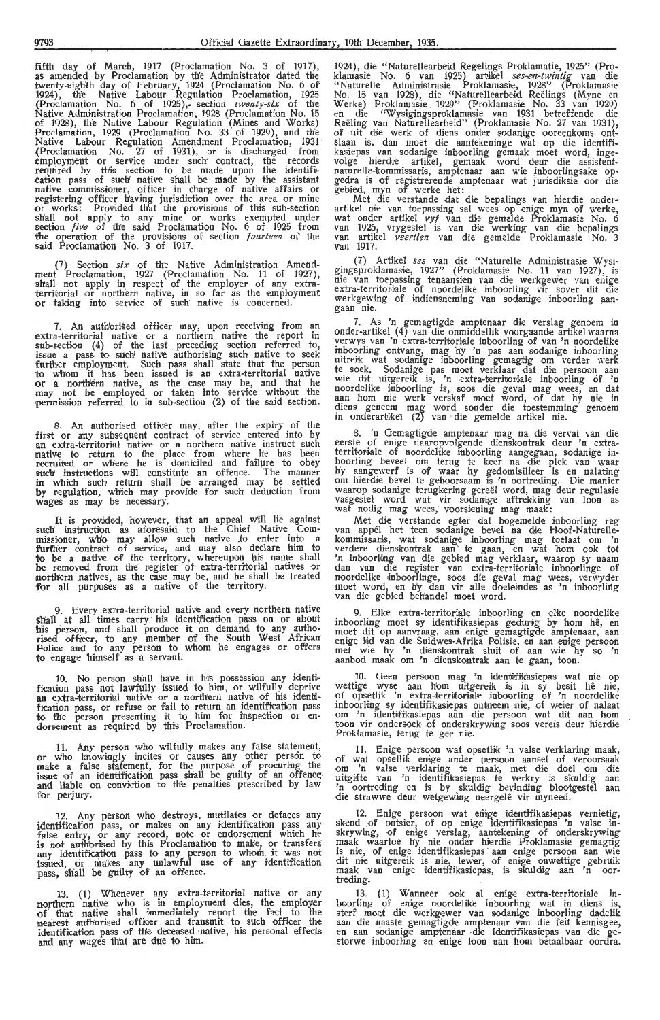fifth day of March, 1917 (Proclamation No. 3 of 1917), as amended by Proclamation by the Administrator dated the twenty-eighth day of February, 1924 (Proclamation No. 6 of 1924), the Native Labour Regulation Proclamation, 1925 (Proclamation No. 6 of 1925 ),· section *twenty-six* of the Native Administration Proclamation, 1928 (Proclamation No. 15<br>of 1928), the Native Labour Regulation (Mines and Works) Proclamation, 1929 (Proclamation No. 33 of 1929), and the<br>Native Labour Regulation Amendment Proclamation, 1931 {Proclamation No. 27 of 1931), or is discharged from employment or service under such· contract, the records required by this section to be made upon the identification pass of such' native shall be made by the assistant native commissioner, officer in charge of native affairs or<br>registering officer h'aving jurisdiction over the area or mine or works: Provided th'at the provisions of this sub-section shall not apply to any mine or works exempted un.der section five of the said Proclamation No. 6 of 1925 from the operation of the provisions of section *fourteen* of the said Proclamation No. 3 of 1917.

(7) Section *six* of the Native Administration Amendment Proclamation, 1927 (Proclamation No. 11 of 1927), shall not apply in respect of the employer of any extraterritorial or northern native, in so far as the employment<br>or taking into service of such native is concerned.

7. An authorised officer may, upon receiving from an extra-territorial native or a northern native the report in  $sub-section$   $(4)$  of the last preceding section referred to, issue a pass to such native authorising such native to seek further employment. Such pass shall state that the person to whom it has been issued is an extra-territorial native<br>or a northern native, as the case may be, and that he may not be employed or taken into service without the permission referred to in sub-section (2) of the said section.

8. An authorised officer may, after the expiry of the first or any subsequent contract of service entered into by an extra-territorial native or a northern native instruct such native to return to the place from where he has been recruited or where he is domiciled and failure to obey such' instructions will constitute an offence. The manner<br>in which such return shall be arranged may be settled by regulation, which may provide for such deduction from wages as may be necessary.

It is provided, however, that an appeal will lie against such instruction as aforesaid to the Chief Native Commissioner, who may allow such native .to enter into a furfh:er contract of service, and may also declare him to to be a native of the territory, whereupon his name shall be removed from the register of extra-territorial natives or northern natives, as the case may be, and he shall be treated for all purposes as a native of the territory.

9. Every extra-territorial native and every northern native shall at all times carry his identification pass on or about his person, and shall produce it on demand to any authorised offloer, to any member of the South W,est African Police and to any person *to* whom he engages or offers to engage himself as a servant.

10. No person shall have in his possession any identification pass not lawfully issued to him, or wilfully deprive<br>an extra-territorial native or a northern native of his identification pass, or refuse or fail to return an identification pass<br>to the person presenting it to him for inspection or en-<br>dorsement as required by this Proclamation.

11. Any person who wilfully makes any false statement, or who knowingly incites or causes any other person to make a false statement, for the purpose of procuring the<br>issue of an identification pass shall be guilty of an offence<br>and liable on conviction to the penalties prescribed by law for perjury.

Any person who destroys, mutilates or defaces any identification pass, or makes on any identification pass any false entry, or any record, note or endorsement which he is not authorised by this Proclamation to make, or transfers any identification pass to any person to whom it was not<br>issued, or makes any unlawful use of any identification pass, shall be guilty of an offence.

13. (1) Whenever any extra-territorial native or any northern native who is in employment dies, the employer<br>of that native shall immediately report the fact to the<br>nearest authorised officer and transmit to such officer the<br>identification pass of the deceased native, his pe and any wages th'at are due to him.

1924), die "Naturellearbeid Regelings Proklamatie, 1925" (Proklamasie No. 6 van 1925) artikel *ses-en-twintig* van die "Naturelle Administrasie Proklamasie, 1928" (Proklamasie No. 15 van 1928), die "Naturellearbeid Reëlings (Myne en<br>Werke) Proklamasie 1929" (Proklamasie No. 33 van 1929)<br>en die "Wysigingsproklamasie van 1931 betreffende die Reëling van Naturellearbeid'' (Proklamasie No. 27 van 1931), of uit die werk of diens onder sodanige ooreenkoms ontslaan is, dan moet die aantekeninge wat op die identifi-<br>kasiepas van sodanige inboorling gemaak moet word, ingevolge hierdie artikel, gemaak word deur die assistentnaturelle-kommissaris, amptenaar aan wie inboorlingsake opgedra is of registrerende amptenaar wat jurisdiksie oor die gebied, myn of werke het:

Met die verstande dat die bepalings van hierdie onderartikel nie van toepassing sal wees op enige myn of werke, wat onder artikel vyf van die gemelde Proklamasie No. 6 van 1925, vrygestel is van die werking van die bepalings<br>van artikel *veertien* van die gemelde Proklamasie No. 3<br>van 1917.

(7) Artikel *ses* van die "Naturelle Administrasie Wysigingsproklamasie, 1927" (Proklamasie No. 11 van 1927), is nie van toepassing tenaansien van die werkgewer van enige extra-territoriale of noordelike inboorling vir sover dit die<br>werkgewing of indiensneming van sodanige inboorling aan-<br>gaan nie.

7. As 'n gemagtigde amptenaar die verslag genoem in onder-artikel ( 4) van die onmiddellik voorgaande artikel waarna verwys van 'n extra-territoriale inboorling of van 'n noordelike inboorling ontvang, mag hy 'n pas aan sodanige inboorling uitreik wat sodanige inboorling gemagtig om verder \\·erk te soek. Sodanige pas moet verklaar dat die persoon aan<br>wie dit uitgereik is, 'n extra-territoriale inboorling of 'n noordelike inboorling is, soos die geval mag wees, en dat<br>aan hom nie werk verskaf moet word, of dat hy nie in diens geneem mag word sonder die toestemming genoem in onderartikei (2) van die gemelde artikel nie.

8. 'n Gemagtigde amptenaar mag na die verval van die eerste of enige daaropvolgende dienskontrak deur 'n extraterritoriale of noordelike inboorling aangegaan, sodanige inboorling beveel om terug te keer na die plek van waar<br>hy aangewerf is of waar hy gedomisilieer is en nalating<br>om hierdie bevel te gehoorsaam is 'n oortreding. Die manier<br>waarop sodanige terugkering gereël word, mag deur re vasgestel word wat vir sodanige aftrekking van loon as<br>wat nodig mag wees, voorsiening mag maak:

Met die verstande egter dat bogemelde inboorling reg van appel het teen sodanige bevel na die Hoof-Naturellekommissaris, wat sodanige inboorling mag toelaat om 'n verdere dienskontrak aan te gaan, en wat hom ook tot 'n inboorHng van die gebiecl mag verklaar, waarop sy naam dan van die register van extra-territoriale inhoorlinge of noordelike inboorlinge, soos die geval mag wees, verwyder moet word, en h'y dan vir alle doeleindes as 'n inboorling<br>van die gebied beh'andel moet word.

9. Elke extra-territoriale inboorling en elke noordelike inboorling moet sy identifikasiepas gedurig by hom hê, en inboorling moet sy identifikasiepas gedurig by hom hê, en<br>moet dit op aanvraag, aan enige gemagtigde amptenaar, aan<br>enige lid van die Suidwes-Afrika Polisie, en aan enige persoon met wie hy 'n dienskontrak sluit of aan wie hy so 'n aanbod maak om 'n dienskontrak aan te gaan, toon.

10. Geen persoon mag 'n identifikasiepas wat nie op wettige wyse aan horn uitgereik is in sy besit he nie, of opsetlik 'n extra-territoriak inboorling of 'n noordelike inboorling sy identifikasiepas ontneem nie, of weier of nalaat<br>om 'n identifikasiepas aan die persoon wat dit aan hom toon vir ondersoek of onderskrywing soos vereis deur hierdie Proklamasie, terug te gee nie.

11. Enige persoon wat opsetlik 'n valse verklaring maak, of wat opsetlik enige ander persoon aanset of veroorsaak<br>om 'n valse verklaring te maak, met die doel om die uitgifte van 'n identifikasiepas te verkry is skuldig aan<br>'n oortreding en is by skuldig bevinding blootgestel aan<br>die strawwe deur wetgewing neergelê vir myneed.

12. Enige persoon wat enige identifikasiepas vernietig, skend of ontsier, of op enige identifikasiepas 'n valse inskrywing, of enige verslag, aantekening of onderskrywing maak waartoe hy nie onder hierdie Proklamasie gemagtig is nie, of enige identifikasiepas aan enige persoon aan wie<br>dit nie uitgereik is nie, lewer, of enige onwettige gebruik maak van enige identifikasiepas, is skuldig aan 'n oor-<br>treding.

13. (1) Wanneer ook al enige extra-territoriale inboorling of enige noordelike inboorling wat in diens is, sterf moet die werkgewer van sodanige inboorling dadelik<br>aan die naaste gemagtigde amptenaar van die feit kennisgee,<br>en aan sodanige amptenaar die identifikasiepas van die gestorwe inboorling en enige loon aan hom betaalbaar oordra.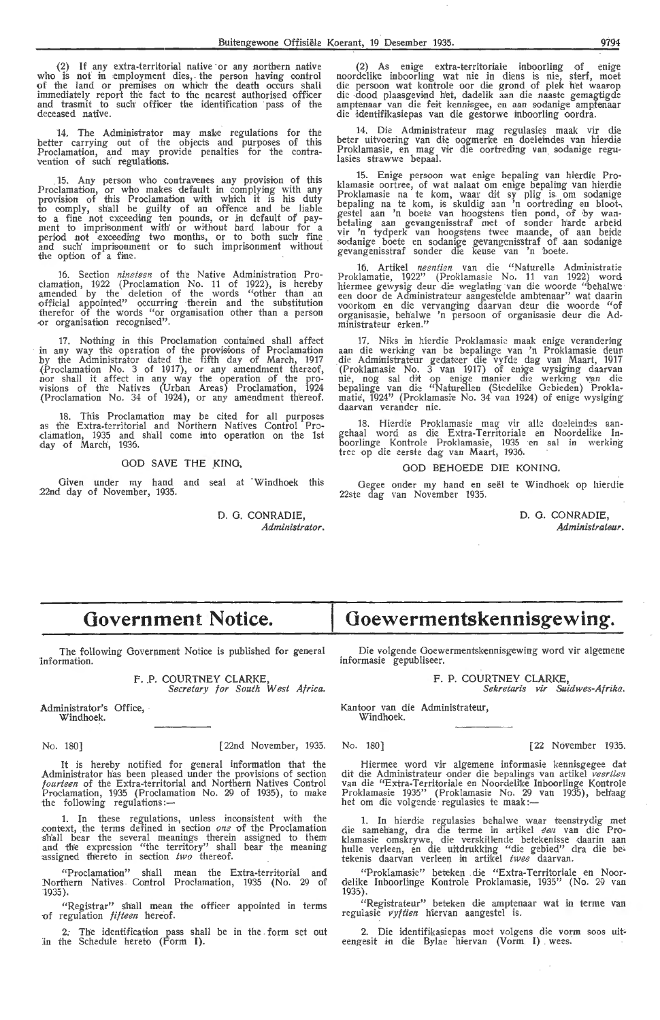(2) If any extra-territorial native or any northern native who is not in employment dies, the person having control of the land or premises on which the death occurs shall immediately report the fact to the nearest authorised officer and trasmit to such officer the identification pass of the deceased native.

14. The Administrator may make regulations for the better carrying out of the objects and purposes of this Proclamation, and may provide penalties for the contravention of such regulations.

Any person who contravenes any provision of this Proclamation, or who makes default in complying with any proviston of this Proclamation with which it is his duty to comply, sh'all be guilty of an offence and be liable to a fine not exceeding ten pounds, or in default of payment to imprisonment with or without hard labour for a<br>period not exceeding two months, or to both such fine<br>and such' imprisonment or to such imprisonment without the option of a fine.

16. Section *nineteen* of the Native Administration Proclamation, 1922 (Proclamation No. 11 of 1922), is hereby amended by the deletion of the words "other than an official appointed" occurring therein and the substitution therefor of the words "or organisation other than a person -or organisation recognised".

17. Nothing in this Proclamation contained shall affect in any way the operation of the provisions of Proclamation by the Administrator dated the fifth day of March, 1917 {Pr-oclamation No. 3 of 1917), or any amendment therwf, nor shall it affect in any way the operation of the provisions of the Natives (Urban Areas) Proclamation, 1924 (Proclamation No. 34 of 1924), or any amendment thereof.

18. This Proclamation may be cited for all purposes as the Extra-territorial and Northern Natives Control Proclamation, 1935 and shail oome into operation on the 1st clamation, 1935 and<br>day of March', 1936.

### GOD SAVE **THE** KING,

Given under my hand and seal at Windhoek this 22nd day of November, 1935.

> D. 0. CONRADIE, *Administrator.*

(2) As enige extra-territoriale inboorling of enige noordelike inboorling wat nie in diens is nie, sterf, moet die persoon wat kontrole oor die grond of plek het waarop die -dood plaasgevind het, dadelik aan die naaste gemagtigde<br>amptenaar van die feit kennisgee, en aan sodanige amptenaar die identifikasiepas van die gestorwe inboorling oordra.

14. Die Administrateur mag regulasies maak vir die beter uitvoering van die oogmerke en doeleindes van hierdie Proklamasie, en mag vir die oortreding van sodanige regulasies strawwe bepaal.

15. Enige persoon wat enige bepaling van hierdie Proklamasie oortree, of wat nalaat om enige bepaling van hierdie<br>Proklamasie na te kom, waar dit sy plig is om sodanige bepaling na te kom, is skuldig aan 'n oortreding en blootgestel aan 'n boete van hoogstens tien pond, of by wan-<br>betaling aan gevangenisstraf met of sonder harde arbeid vir 'n tydperk van hoogstens twee maande, of aan beide<br>sodanige boete en sodanige gevangenisstraf of aan sodanige<br>gevangenisstraf sonder die keuse van 'n boete.

16. Artikel *neentien* van die "Naturelle Administratie Proklamatie, 1922" (Proklamasie No. 11 van 1922) word hiermee gewysig deur die weglating van die woorde "behalwe een door de Administrateur aangestelde ambtenaar" wat daarin voorkom en die vervanging daarvan deur die woorde "of organisasie, behalwe 'n persoon of organisasie deur die Administrateur erken."

17. Niks in hierdie Proklamasie maak enige verandering aan die werking van be bepalinge van 'n Proklamasie deur die Administrateur gedateer die vyfde dag van Maart, 1917 (Proklamasie No. 3 van 1917) of enige wysiging daarvan nie, nog sal dit op enige manier die werking van die<br>bepalinge van die "Naturellen (Stedelike Oebieden) Proklamatie', 1924" (Proklamasie No. 34 van 1924) of enige wysiging daarvan verander nie.

18. Hierdie Proklamasie mag vir alle doeleindes aan-<br>gehaal word as die Extra-Territoriale en Noordelike Inboorlinge Kontrole Proklamasie, 1935 en sal in werking tree op die eerste dag van Maart, 1936.

# GOD BEHOEDE DIE KONING.

Gegee onder my hand en seël te Windhoek op hierdie 22ste dag van November 1935.

> **D.** 0. CONRADIE, Administrateur.

# **Government Notice.**

The following Government Notice is published for general information.

> F. P. COURTNEY CLARKE *Secretary for South West Africa.*

Administrator's Office, Windhoek.

No. 180)

[22nd November, 1935.

It is hereby notified for general information that the Administrator has been pleased under the provisions of section *fourteen* of the Extra-territorial and Northern Natives Control Proclamation, 1935 (Proclamation No. 29 of 1935), to make the following regulations:-

1. In these regulations, unless inconsistent with the context, the terms defined in section *one* of the Proclamation sh'all bear the several meanings therein assigned to them and the expression "the territory" shall bear the meaning assigned thereto in section two thereof.

"Proclamation" shall mean the Extra-territorial and Northern Natives Control Proclamation, 1935 (No. 29 of 1935).

"Registrar" shall mean the officer appointed in terms of regulation *fifteen* hereof.

2.- The identification pass shall be in the . form set out in the Schedule hereto (Form **I).** 

Die volgende Goewermentskennisgewing word vir algemene

**Goewermentskennisgewing.** 

informasie gepubliseer.

F. P. COURTNEY CLARKE,

Sekretaris vir Suidwes-Afrika.

Kantoor van die Administrateur, Windhoek.

No. 180] [22 November 1935.

Hiermee word vir algemene informasie kennisgegee dat dit die Administrateur onder die bepalings van artikel *veertien*<br>van die "Extra-Territoriale en Noordelike Inboorlinge Kontrole Proklamasie 1935'' (Proklamasie No. 29 van 1935), beh'aag<br>het om die volgende regulasies te maak:—

1. In hierdie regulasies behalwe waar teenstrydig met die samehang, dra die terme in artikel *een* van die Proklamasie omskrywe, die verskillende betekenisse daarin aan<br>hulle verleen, en die uitdrukking "die gebied" dra die be<sup>i</sup> tekenis daarvan verleen in artikel twee daarvan.

"Proklamasie" beteken die "Extra-Territoriale en Noor-delike Inboorlinge Kontrole Proklamasie, 1935" (No. 29 van delike Inboorlinge Kontrole Proklamasie, 1935'' (No. 29 van 1935).

"Registrateur" beteken die amptenaar wat in terme van<br>regulasie *vyftien* hiervan aangestel is.

2. Die identifikasiepas moet volgens die vorm soos uiteengesit in die Bylae hiervan (Vorm I) wees.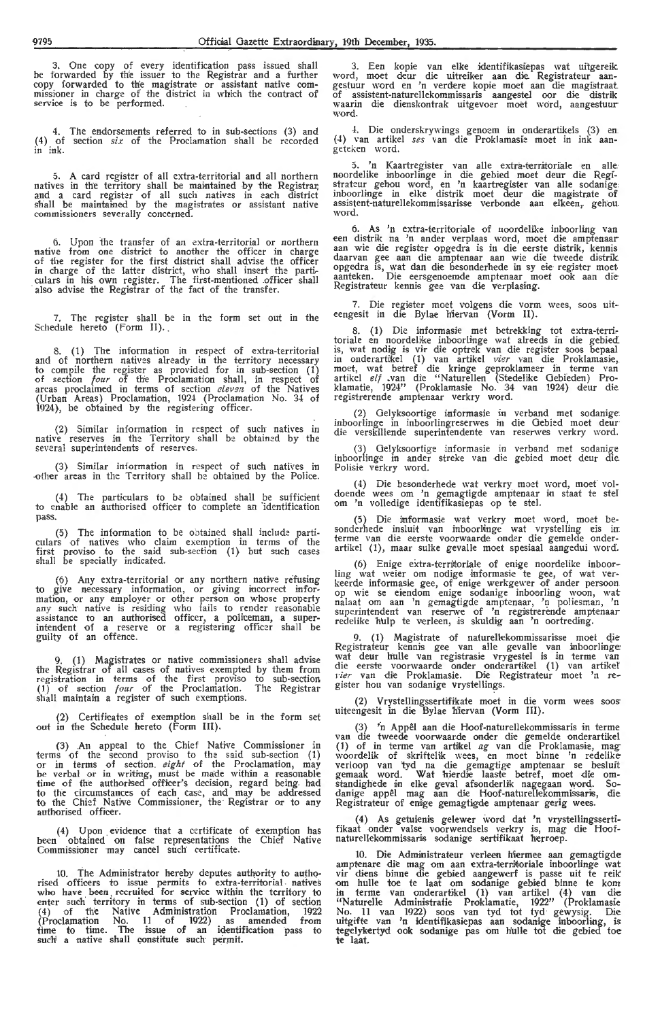3. One copy of every identification pass issued shall be forwarded by the issuer to the Registrar and a further copy forwarded to th'e magistrate or assistant native com- missioner in charge of the district in which the contract of service is to be performed.

4. The endorsements referred to in sub-sections (3) and (4) of section *six* of the Proclamation shall be recorded in ink.

5. A card register of all extra-territorial and all northern natives in the territory shall be maintained by the Registrar;<br>and a card register of all such natives in each district shall be maintained by the magistrates or assistant native commissioners severally concerned.

6. Upon the transfer of an extra-territorial or northern native from one district to another the officer in charge of the register for the first district shall advise the officer in charge of the latter district, who shall insert the particulars in his own register. The first-mentioned officer shall<br>also advise the Registrar of the fact of the transfer.

7. The register shall be in the form set out in the Schedule hereto (Form II).

8. (1) The information in respect of extra-territorial and of northern natives already in the territory necessary to compile the register as provided for in sub-section (1) of section *four* of the Proclamation shall, in respect of areas proclaimed in terms of section *eleven* of the Natives (Urban Areas) Proclamation, 1924 (Proclamation No . 34 of 1924), be obtained by the registering officer.

(2) Similar information in respect of such natives in native reserves in the Territory shall be obtained by the several superintendents of reserves.

(3) Similar information in respect of such natives in -0ther areas in the Territory shall be obtained by the Police.

( 4) The particulars *to* be obtained shall be sufficient to enable an authorised officer *to* complete an "identification pass,

(5) The information to be obtained shall include parti-culars -of natives who claim exemption in terms of the first proviso to the said sub-section (1) but such cases<br>shall be specially indicated.

(6) Any extra-territorial or any northern native refusing to give necessary information, or giving incorrect information, or any employer or other person on whose property any such native is residing who fails to render reasonable assistance *to* an authorised officer, a policeman, a superintendent of a reserve or a registering officer shall be guilty of an offence.

9. (1) Magistrates or native commissioners shall advise the Registrar of all cases of natives exempted by them from<br>registration in terms of the first proviso to sub-section (1) of section *four* of the Proclamation. The Registrar shall maintain a register of such exemptions.

(2) Certificates of exemption shall be in the form set out in the Schedule hereto (Form III).

(3) An appeal to the Chief Native Commissioner in terms of the second proviso to the said sub-section (1) or in terms of section. *eight* of the Proclamation, may be verbal or in writing, must be made within a reasonable time of the authorised officer's decision, regard being had to the circumstances of each case, and may be addressed to the Chief Native Commissioner, the Registrar or *to* any authorised officer.

(4) Upon evidence that a certificate of exemption has been obtained on false representations the Chief Native Commissioner may cancel such certificate.

10. The Administrator hereby deputes authority to autho-rised officers to issue permits to extra-territorial natives who have been ; recruited for service within the territory *to*  enter such territory in terms of sub-section (1) of section ( 4) of the Native Administration Proclamation, 1922 (Proclamation No. **11** of . 1922) as . amended from time to time. The issue of an identification pass to such a native shall constitute such permit.

3. Een kopie van elke identifikasiepas wat uitgereik word, moet deur die uitreiker aan die Registrateur aan-<br>gestuur word en 'n verdere kopie moet aan die magistraat of assistent-naturellekommissaris aangestel oor die distrik waarin die dienskontrak uitgevoer moet word, aangestuur word.

4. Die onderskrywings genoem in onderartikels (3) en. (4) van artikel *ses* van die Proklamasie moet in ink aan- geteken word.

5. 'n Kaartregister van alle extra-territoriale en alle· noordelike inboorlinge in die gebied moet deur die Registrateur gehou word, en 'n kaartregister van alle sodanige.<br>inboorlinge in elke distrik moet deur die magistrate of assistent-naturellekommissarisse verbonde aan elkeen, gehou.<br>word.

6. As 'n extra-territoriale of noordelike inboorling van een distrik na 'n antler verplaas word, moet die amptenaar aan wie die register opgedra is in die eerste distrik, kennis daarvan gee aan die amptenaar aan wie die tweede distrik. opgedra is, wat dan die besonderhede in sy eie register moet. aanteken. Die eersgenoemde amptenaar moet ook aan die Registrateur kennis gee van die verplasing.

7. Die register moet volgens die vorm wees, soos uiteengesit in die Bylae hiervan (Vorm II).

8. (1) Die informasie met betrekking tot extra-territoriale en noordelike inboorlinge wat alreeds in die gebied is, wat nodig is vir die optrek van die register soos bepaal in onderartikel (1) van artikel *vier* van die Proklamasie,.<br>moet, wat betref die kringe geproklameer in terme van<br>artikel *elf* .van die "Naturellen (Stedelike Gebieden) Proklamatie, 1924" (Proklamasie No. 34 van 1924) deur die registrerende amptenaar verkry word.

(2) Gelyksoortige informasie in verband met sodanige. inboorlinge in inboorlingreserwes in die Gebied moet deur die verskillende superintendente van reserwes yerkry word.

(3) Gelyksoortige informasie in verband met sodanige inboorlinge in ander streke van die gebied moet deur die. Polisie verkry word.

(4) Die besonderhede wat verkry moet word, moet vol-doende wees om 'n gemagtigde amptenaar in staat te std om 'n volledige identifikasiepas op te stel.

(5) Die informasie wat verkry moet word, moet besonderhede insluit van inboorlinge wat vrystelling eis in. terme van die eerste voorwaarde onder die gemelde onderartikel (1), maar sulke gevalle moet spesiaal aangedui word.

(6) Enige extra-territoriale of enige noordelike inboorling wat weier om nodige informasie te gee, of wat ver-<br>keerde informasie gee, of enige werkgewer of ander persoon op wie se eiendom enige sodanige inboorling woon, wat nalaat om aan 'n gemagtigde amptenaar, 'n poliesman, 'n superintendent van reserwe of 'n registrerende amptenaar redelike h'ulp te verleen, is skuldig aan 'n oortreding.

9. (1) Magistrate of naturellekommissarisse moet die Registrateur kennis gee van alle gevalle van inboorlinge:<br>wat deur hulle van registrasie vrygestel is in terme van<br>die eerste voorwaarde onder onderartikel (1) van artikel v*ier* van die Proklamasie. Die Registrateur moet 'n re-<br>gister hou van sodanige vrystellings.

(2) Vrystellingssertifikate moet in die vorm wees soos· uiteengesit in die Bylae hiervan (Vorm III).

(3) 'n Appêl aan die Hoof-naturellekommissaris in terme<br>van die tweede voorwaarde onder die gemelde onderartikel (1) of in terme van artikel ag van die Proklamasie, mag woordelik of skriifteltk wees, en moet binne 'n redelike verloop van 'tyd na die gemagtige amptenaar se besluit gemaak word. Wat hierdie laaste betref, moet die om-<br>standighede in elke geval afsonderlik nagegaan word. Sodanige appel mag aan die Hoof-naturellekommissaris, die Registrateur of enige gemagtigde amptenaar gerig wees.

(4) As getuienis gelewer word dat 'n vrystellingssertifikaat onder valse voorwendsels verkry is, mag die Hoofnaturellekommissaris sodanige sertifikaat herroep.

10. Die Administrateur verleen hiermee aan gemagtigde amptenare die mag om aan extra-terriforiale inboorlinge wat vir diens binne die gebied aangewerf is passe uit te reik<br>om hulle toe te laat om sodanige gebied binne te kom in terme van onderartikel (1) van artikel (4) van die "Naturelle Administratie Proklamatie, 1922" (Proklamasie No. 11 van 1922) soos van tyd tot tyd gewysig. Die uitgifte van 'n identifikasiepas aan sodanige inboorling, is tegelykertyd ook sodanige pas om hulle tot die gebied toe te laat.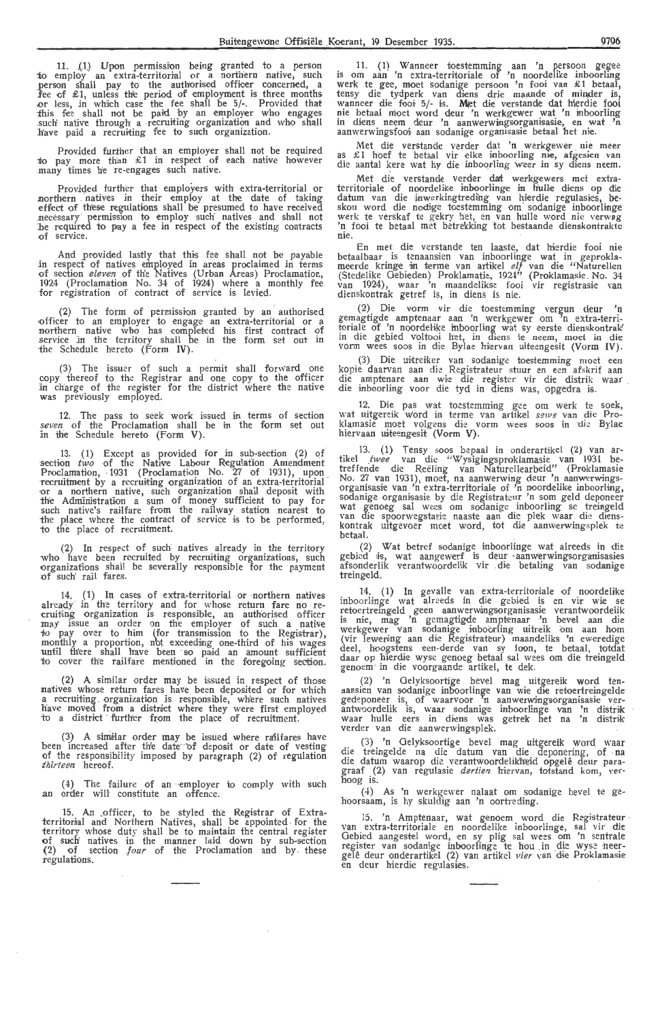11. (1) Upon permission being granted to a person *io* employ an extra-territorial or a northern native, such person shall pay to the authorised officer concerned, a fee of  $\pounds 1$ , unless the period of employment is three months .or less, in which case the fee shall be  $5/-$ . Provided that -:th.is fee shall not be paid -by an employer who engages .sucli native through' a · recruiting organization and who shall b'ave paid a recruiting fee to such organization.

Provided further that an employer shall not be required to pay more than  $\&$  1 in respect of each native however .<br>many times he re-engages such native.

Provided further that employers with extra-territorial or northern natives in their employ at the date of taking effect of these regulations shall be presumed to have received effect of these regulations shall be presumed to have received necessary permission to employ such natives and shall not *be required to pay a fee in respect of the existing contracts* of service.

And provided lastly that this fee shall not be payabie in respect of natives employed in areas proclaimed in terms of section *eleven* of the Natives (Urban Areas) Proclamation, 1924 (Proclamation No. 34 of 1924) where a monthly fee for registration of contract of service is levied.

(2) The form of permission granted by an authorised officer to an employer to engage an extra-territorial or a northern native who has completed his first contract of service in the territory shall be in the form set out in the Schedule hereto (Form IV).

(3) The issuer of such a permit shall forward one copy thereof to the Registrar and one copy to the officer in ch'arge of the register for the district where the native was prev'iously employed.

12. The pass to seek work issued in terms of section seven of the Proclamation shall be in the form set out in the Schedule hereto (Form V).

13. (1) Except as provided for in sub-section (2) of section two of the Native Labour Regulation Amendment Proclamation, 1931 (Proclamation No. 27 of 1931), upon recruitment by a recruiting organization of an extra-territorial or a northern native, such organization shall deposit with the Administration a sum of money sufficient to pay for such native's railfare from the railway station nearest to the place where the contract of service is to be performed, to the place of recruitment.

(2) **In** respect of such natives already **in** the territory who have been recruited by recruiting organizations, such organizations shall be severally responsible for the payment :of such' rail fares.

14. (1) In cases of extra-territorial or northern natives already in the territory and for whose return fare no re-<br>cruiting organization is responsible, an authorised officer may issue an order on the employer of such a native<br>to pay over to him (for transmission to the Registrar), monthly a proportion, nbt exceeding one-third of his wages until there shall have been so paid an amount sufficient to cover the railfare mentioned in the foregoing section.

 $(2)$  A similar order may be issued in respect of those natives whose return fares have been deposited or for which<br>a recruiting organization is responsible, where such natives<br>have moved from a district where they were first employed to a district further from the place of recruitment.

(3) A similar order may be issued where railfares have been increased after the date of deposit or date of vesting of the responsibility imposed by paragraph (2) of regulation *thirteen* hereof.

(4) The failure of an employer to comply with such an order will constitute an offence.

15. An .officer, to be styled the Registrar of Extra- territorial and Northern Natives, shall be appointed for the territory whose duty shall be to maintain the central register of such natives in the manner laid down by sub-section (2) of section *four* of the Proclamation and by . these regulations.

11. ( 1) W anneer toestemming aan 'n persoon gegee is om aan 'n extra-terrH-oriale of 'n noordelike inboorling werk te gee, moet sodanige persoon 'n fooi van £1 betaal, tensy die tydperk van diens drie maande of minder is,<br>wanneer die fooi• 5/- is. Met die verstande dat hierdie fooi<br>nie betaal moet word deur 'n werkgewer wat 'n inboorling in diens neem deur 'n aanwerwingsorganisasie, en wat 'n aanwerwingsfooi aan sodanige organisasie betaal het nie.

Met die verstande verder dat 'n werkgewer nie meer as £1 hoef te betaal vir elke *inhoorling me, afgesien van* die aantal kere wat hy die inboorling weer *in sy diens neem*.

Met die verstande verder dat werkgewers met extraterritoriale of noordelike inboorlinge in hulle diens op die datum van die inwerkingtreding van hierdie regulasies, beskou word die nodige toestemming om sodanige inboorlinge werk te verskaf te gekry het, en van hulle word nie verwøg<br>'n fooi te betaal met betrekking tot bestaande dienskontrakte nie .

En met die verstande ten laaste, dat hierdie fooi nie<br>betaalbaar is tenaansien van inboorlinge wat in geprokla-<br>meerde kringe in terme van artikel *elf* van die "Naturellen (Stedelike Gebieden) Proklamatie, 1924" (Proklamasie No. 34<br>van 1924), waar 'n maandelikse fooi vir registrasie van<br>dienskontrak getref is, in diens is nie.

(2) Die vorm vir die toestemming vergun deur 'n gemagtigde amptenaar aan 'n werkgewer om <sup>7</sup>n extra-territoriale of 'n noordelike inboorling wat sy eerste dienskontrak' in die gebied voltooi het, in diens te neem, moet in die<br>vorm wees soos in die Bylae hiervan uiteengesit (Vorm IV).

(3) Die uitreiker van sodanige toestemming moet een<br>kopie daarvan aan die Registrateur stuur en een afskrif aan<br>die amptenare aan wie die register vir die distrik waar<br>die inboorling voor die tyd in diens was, opgedra is.

12. Die pas wat toestemming gee om werk te soek, wat uitgereik word in terme van artikel sewe van die Proklamasie moet volgens die vorm wees soos in die Bylae<br>hiervaan uiteengesit (Vorm V).

13. (1) Tensy soos bepaal in onderartikel (2) van ar-<br>tikel *twee* van die "Wysigingsproklamasie van 1931 betreffende die Reeling van Naturellearbeid" (Proklamasie No. 27 van 1931), moet, na aanwerwing deur 'n aanwerwingsorganisasie van 'n extra-territoriale of 'n noordelike inboorling, sodanige organisasie by die Registrateur 'n som geld deponeer wat genoeg sal wees om sodanige inboorling se treingeld<br>van die spoorwegstasie naaste aan die plek waar die dienskontrak uitgevoer moet word, tot die aanwerwingsplek k betaal.

(2) Wat betref sodanige inboorlinge wat alreeds in die gebied is, wat aangewerf is deur -aanwerwingsorganisasies afsonderlik verantwoordelik vir die betaling van sodanige treingeld.

14. (1) In gevalle van extra-territoriale of noordelike inboorlinge wat alreeds in die gebied is en vir wie se<br>retoertreingeld geen aanwerwingsorganisasie verantwoordelik is nie, mag 'n gemagtigde amptenaar 'n bevel aan die werkgewer van sodanige inboorling uitreik om aan hom (vir lewering aan die Registrateur) inaandeliks 'n eweredige deel, hoogstens een-derde van sy loon, te betaal, totdat daar op hierdie wyse genoeg betaal sal wees om die treingeld genoem · in die voorgaande artikel, te dek.

(2) 'n Gelyksoortige bevel mag uitgereik word tenaansien van sodanige inboorlinge van wie die retoertreingelde<br>gedeponeer is, of waarvoor 'n aanwerwingsorganisasie ver-<br>antwoordelik is, waar sodanige inboorlinge van 'n distrik<br>waar hulle eers in diens was getrek het na ' verder van die aanwerwingsplek.

(3) 'n Oelyksoortige bevel mag uitgereik word waar die treingelde na die datum van die deponering, of na die datum waarop die verantwoordelikheid opgelê deur paragraaf (2) van regulasie *dertien* hiervan, totstand kom, ver<br>hoog is.

(4) As 'n werkgewer nalaat om sodanige bevel te gehoorsaam, is hy skuldig aan 'n oortreding.

15. 'n Amptenaar, wat genoem word die Registrateur van extra-territoriale en noordelike inboorlinge, sal vir die Gebied aangestel word, en sy plig sal wees om 'n sentrale register van sodanige inboorlinge te hou in die wys gelê deur onderartikel (2) van artikel *vier* van die Proklamasie en deur hierdie regulasies.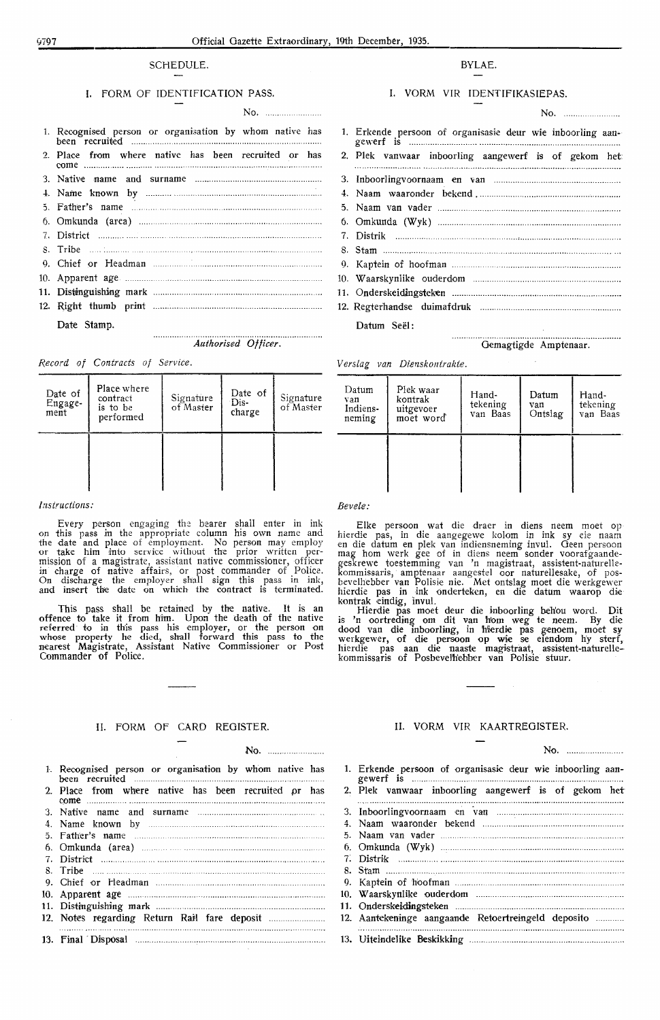# f/797 Official Gazette Extraordinary, 19th December, 1935.

# SCHEDULE.

# I. FORM OF IDENTIFICATION PASS.

| 1. Recognised person or organisation by whom native has |
|---------------------------------------------------------|
| 2. Place from where native has been recruited or has    |
|                                                         |
|                                                         |
|                                                         |
|                                                         |
|                                                         |
|                                                         |
|                                                         |
|                                                         |
|                                                         |
|                                                         |
| Date Stamp.                                             |

···········,-·········· *Authorised Officer.* 

No.

*Record of Contracts of Service.* 

| Date of<br>Engage-<br>ment | Place where<br>contract<br>is to be<br>performed | Signature<br>of Master | Date of<br>Dis-<br>charge | Signature<br>of Master |
|----------------------------|--------------------------------------------------|------------------------|---------------------------|------------------------|
|                            |                                                  |                        |                           |                        |

#### *Instructions:*

Every person engaging the bearer shall enter in ink on this pass in the appropriate column his own name and the date and place of employment. No person may employ or take him into service without the prior written permission of a magistrate, assistant native commissioner, officer in charge of native affairs, or post commander of Police. On discharge the employer shall sign this pass in ink, and insert the date on which the contract is terminated.

This pass shall be retained by the native. It is an offence to take it from him. Upon the death of the native referred to in this pass his employer, or the person on whose property he died, shall forward this pass to the nearest Magistrate, Assistant Native Commissioner or Post Commander of Police.

# II. FORM OF CARD REGISTER.

# No.

| 1. Recognised person or organisation by whom native has |  |  |
|---------------------------------------------------------|--|--|
|                                                         |  |  |
| 2. Place from where native has been recruited or has    |  |  |
|                                                         |  |  |
|                                                         |  |  |
|                                                         |  |  |
|                                                         |  |  |

- 6. Omkunda (area)
- 7. Distrkt ..
- 8. Tribe
- 9. Chief or H·eadman ........... ... .. ................................... ... . 10. Apparent age ........................................ .
- 11. Distinguishing mark ... .... ......................... ... .
- 12. Notes regarding Return Rai'l fare deposit .. ...... .
- 13. Final · Disposal . . ... ..... ...... .......... . . ....... . ...................... .

# BYLAE.

# I. VORM VIR IDENTIFIKASIEPAS.

| 1. Erkende persoon of organisasie deur wie inboorling aan- |
|------------------------------------------------------------|
| 2. Plek vanwaar inboorling aangewerf is of gekom het:      |
|                                                            |
|                                                            |
|                                                            |
|                                                            |
|                                                            |
|                                                            |

- 9. Kaptein of hoofman 10. W aarskynlike ouderdom .......................... .. ........... .... ...... .
- 11. Onderskeictingsteken ............. .
- 12. Regterhandse duimafdruk ............ .

Datum Seël:

. . . . . . . . . . . . . . . . . . . . . . . . . . . Gemagtigde Amptenaar.

*Verslag* van *Dierzskontrakte.* 

| Datum<br>van<br>Indiens-<br>neming | Plek waar<br>kontrak<br>uitgevoer<br>moet word | Hand-<br>tekening<br>van Baas | Datum<br>van<br>Ontslag | Hand-<br>tekening<br>van Baas |
|------------------------------------|------------------------------------------------|-------------------------------|-------------------------|-------------------------------|
|                                    |                                                |                               |                         |                               |

# *Bevele:*

Elke persoon wat die draer in diens neem moet op hierdie pas, in die aangegewe kolom in ink sy *de* naam en die datum en plek van indiensneming invul. Geen persoon mag hom werk gee of in diens neem sonder voorafgaandegeskrewe toestemming van 'n magistraat, assistent-naturellekommissaris, amptenaar aangestel oor natureUesake, of posbevelhebber van Polisie nie. Met ontslag moet die werkgewer hierdie pas in ink onderteken, en die datum waarop die kontrak eindig, invul.

Hierdie pas moet deur die inboorling behou word. Dit is 'n oortreding om dit van hom weg te neem. By die dood van die inboorling, in hierdie pas genoem, moet sy werkgewer, of die persoon op wie se eiendom hy sterf, hierdie pas aan die naaste magistraat, assistent-naturellekommissaris of Posbevelh'ebber van Polisie stuur.

# II. VORM VIR KAARTREOISTER.

| No. | ************************ |
|-----|--------------------------|
|-----|--------------------------|

1. Erkende persoon of organisasie deur wie inboorling aan- gewerf is ........................................................................................ . 2. Plek vanwaar inboorling aangewerf is of gekom het 3. Inboorlingvoornaam en ·van ........ .. ... ..... .... .......... ..... ..... ......... . . 4. Naam waaronder bekend .... ................................................. . 5. Naam van vader 6. Omkunda (Wyk) ... 7: DisMk ........ . 8. Stam ..... . 9. Kaptein of hoofman 10. W aarskynlike ouderdom 11. Onderskeictingsteken . . . .. . . . . . . ............................... ......... ............... . 12. Aantekeninge aangaande Retoertreingeld deposito .......... . 13. Uitei-ndelike Beskikking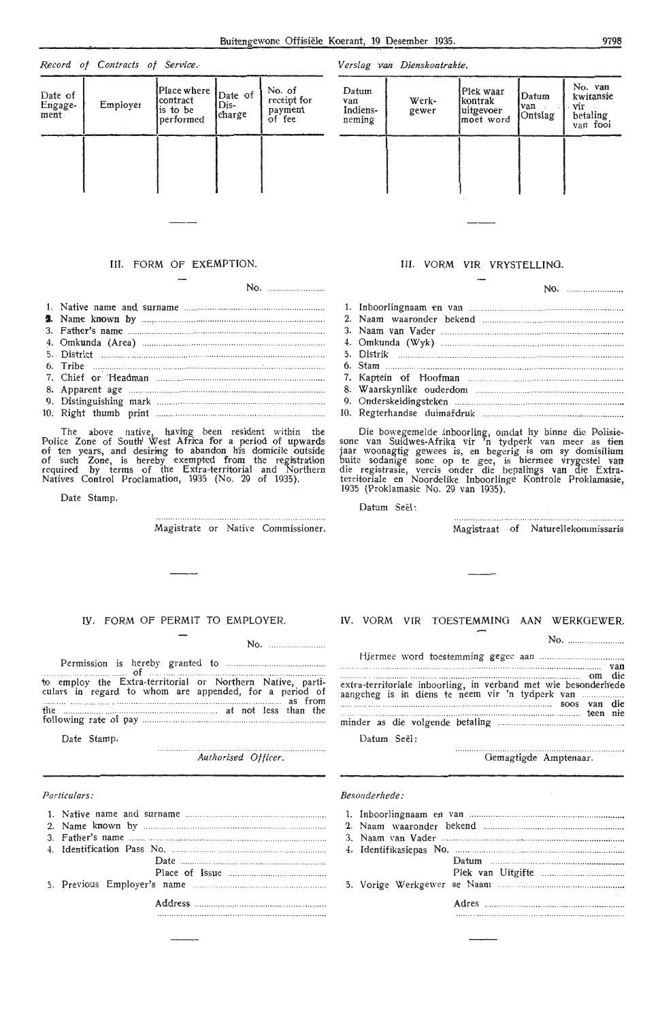# *Ver slag* Wm *Dienskontrakte.*

| Datum<br>van<br>Indiens-<br>neming | Werk-<br>gewer | Plek waar<br>kontrak<br>uitgevoer<br>moet word | Datum<br>van<br>Ontslag | No. van<br>kwitansie<br>vir<br>betaling<br>van fooi |
|------------------------------------|----------------|------------------------------------------------|-------------------------|-----------------------------------------------------|
|                                    |                |                                                |                         |                                                     |
|                                    |                |                                                |                         |                                                     |

# III. FORM OF EXEMPTION.

Date of  $\begin{bmatrix} \text{Place where} \\ \text{center} \end{bmatrix}$  Date of  $\begin{bmatrix} \text{No. of} \\ \text{receint} \end{bmatrix}$ Date of<br>Engage-<br>
Employer contract Dis-<br>
is to be<br>
charge formed for the payment  $\begin{array}{c|c}\n\text{Lugage:} \\
\text{ment}\n\end{array}$   $\begin{array}{c|c}\n\text{Lupnover} \\
\text{is to be} \\
\text{performed} \\
\text{charge} \\
\text{of fee}\n\end{array}$ 

performed charge of fee

*Record of Contracts of Service .-*

No.

The above native, having been resident within the<br>Police Zone of South' West Africa for a period of upwards of ten years, and desiring to abandon his domicile outside of such Zone, is hereby exempted from the registration required by terms of the Extra-territorial and Northern Natives Control Proclamation, 1935 (No. 29 of 1935).

Date Stamp.

Magistrate or Native Commissioner.

# III. VORM VIR VRYSTELLING.

| 11.47 |
|-------|
|       |
|       |
|       |
|       |
|       |
|       |
|       |
|       |
|       |
|       |

Die bowegemelde inboorling, omdat hy binne die Polisie-<br>sone van Suidwes-Afrika vir 'n tydperk van meer as tien jaar woonagtig gewees is, en begerig is om sy domisilium buite sodanige sone op te gee, is hiermee vrygestel van<br>die registrasie, vereis onder die bepalings van die Extraterritoriale en Noordelike Inboorlinge Kontrole Proklamasie, 1935 (Proklamasie No. 29 van 1935).

Datum Seël:

Magistraat of Naturellekommissaris

No.

# IV. FORM OF PERMIT TO EMPLOYER.

No.

Permission is hereby granted to ... ..

. ........ .. cl . .................. . to employ the Extra-territorial or Northern Native, particulars in regard to whom are appended, for a period of the ................. ..... ... ... .. ... .. ..... .. .. at not less than the following rate· of pay . .. .. ........... .

Date Stamp.

Authorised Officer.

# *Particulars:*

# IV. VORM. VIR TOESTEMMING AAN WERKGEWER.

No. Hjermee word toestemming g,egee aan and the contract of the contract of the contract of the contract of the contract of the contract of the contract of the cange heg is in diens te neem vir 'n tydperk van soos van die minder as die volgende betaling Datum Seel: . . . . . . . . . . . . . . . . . . soos van die ... .. ........... .. ... ........ teen nie

................ Gemagtigde Amptenaar.

## *Beso11derhede :*

|                                                                                                     | <b>Contract Contract</b> |
|-----------------------------------------------------------------------------------------------------|--------------------------|
|                                                                                                     |                          |
| [1] 2011년 11월 11일 - 11월 11일 - 11월 11일 - 11월 11일 - 11월 11일 - 11월 11일 - 11월 11일 - 11월 11일 - 11월 11일 - |                          |